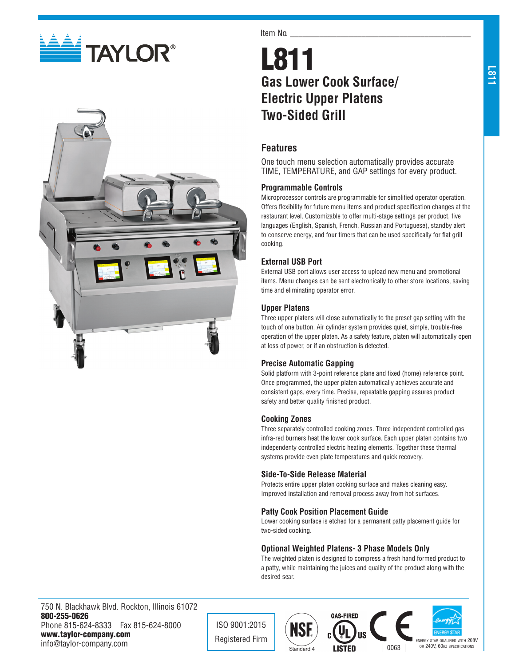



#### Item No.

# L811 **Gas Lower Cook Surface/ Electric Upper Platens Two-Sided Grill**

# **Features**

One touch menu selection automatically provides accurate TIME, TEMPERATURE, and GAP settings for every product.

#### **Programmable Controls**

Microprocessor controls are programmable for simplified operator operation. Offers flexibility for future menu items and product specification changes at the restaurant level. Customizable to offer multi-stage settings per product, five languages (English, Spanish, French, Russian and Portuguese), standby alert to conserve energy, and four timers that can be used specifically for flat grill cooking.

## **External USB Port**

External USB port allows user access to upload new menu and promotional items. Menu changes can be sent electronically to other store locations, saving time and eliminating operator error.

#### **Upper Platens**

Three upper platens will close automatically to the preset gap setting with the touch of one button. Air cylinder system provides quiet, simple, trouble-free operation of the upper platen. As a safety feature, platen will automatically open at loss of power, or if an obstruction is detected.

## **Precise Automatic Gapping**

Solid platform with 3-point reference plane and fixed (home) reference point. Once programmed, the upper platen automatically achieves accurate and consistent gaps, every time. Precise, repeatable gapping assures product safety and better quality finished product.

#### **Cooking Zones**

Three separately controlled cooking zones. Three independent controlled gas infra-red burners heat the lower cook surface. Each upper platen contains two independenty controlled electric heating elements. Together these thermal systems provide even plate temperatures and quick recovery.

#### **Side-To-Side Release Material**

Protects entire upper platen cooking surface and makes cleaning easy. Improved installation and removal process away from hot surfaces.

## **Patty Cook Position Placement Guide**

Lower cooking surface is etched for a permanent patty placement guide for two-sided cooking.

## **Optional Weighted Platens- 3 Phase Models Only**

The weighted platen is designed to compress a fresh hand formed product to a patty, while maintaining the juices and quality of the product along with the desired sear.

750 N. Blackhawk Blvd. Rockton, Illinois 61072 800-255-0626 Phone 815-624-8333 Fax 815-624-8000 www.taylor-company.com info@taylor-company.com

ISO 9001:2015